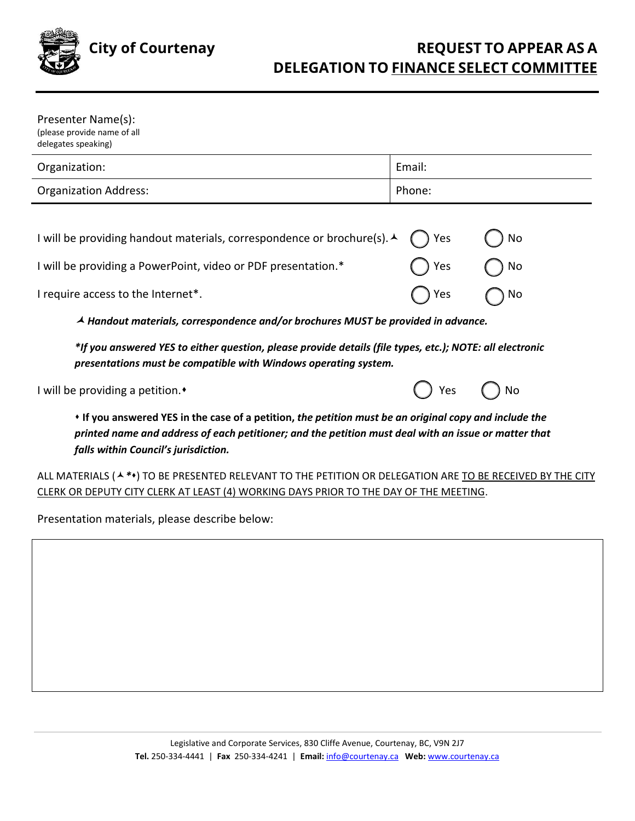

| Presenter Name(s):<br>(please provide name of all<br>delegates speaking)                                                                                                                                                                                            |                   |                |
|---------------------------------------------------------------------------------------------------------------------------------------------------------------------------------------------------------------------------------------------------------------------|-------------------|----------------|
| Organization:                                                                                                                                                                                                                                                       | Email:            |                |
| <b>Organization Address:</b>                                                                                                                                                                                                                                        | Phone:            |                |
| I will be providing handout materials, correspondence or brochure(s). A<br>I will be providing a PowerPoint, video or PDF presentation.*<br>I require access to the Internet*.<br>▲ Handout materials, correspondence and/or brochures MUST be provided in advance. | Yes<br>Yes<br>Yes | No<br>No<br>No |
|                                                                                                                                                                                                                                                                     |                   |                |

*\*If you answered YES to either question, please provide details (file types, etc.); NOTE: all electronic presentations must be compatible with Windows operating system.* 

I will be providing a petition. **•**  $\blacksquare$ 

| Υρς | No |
|-----|----|
|-----|----|

 **If you answered YES in the case of a petition,** *the petition must be an original copy and include the printed name and address of each petitioner; and the petition must deal with an issue or matter that falls within Council's jurisdiction.*

ALL MATERIALS ( $\star$ <sup>\*</sup>) TO BE PRESENTED RELEVANT TO THE PETITION OR DELEGATION ARE TO BE RECEIVED BY THE CITY CLERK OR DEPUTY CITY CLERK AT LEAST (4) WORKING DAYS PRIOR TO THE DAY OF THE MEETING.

Presentation materials, please describe below: